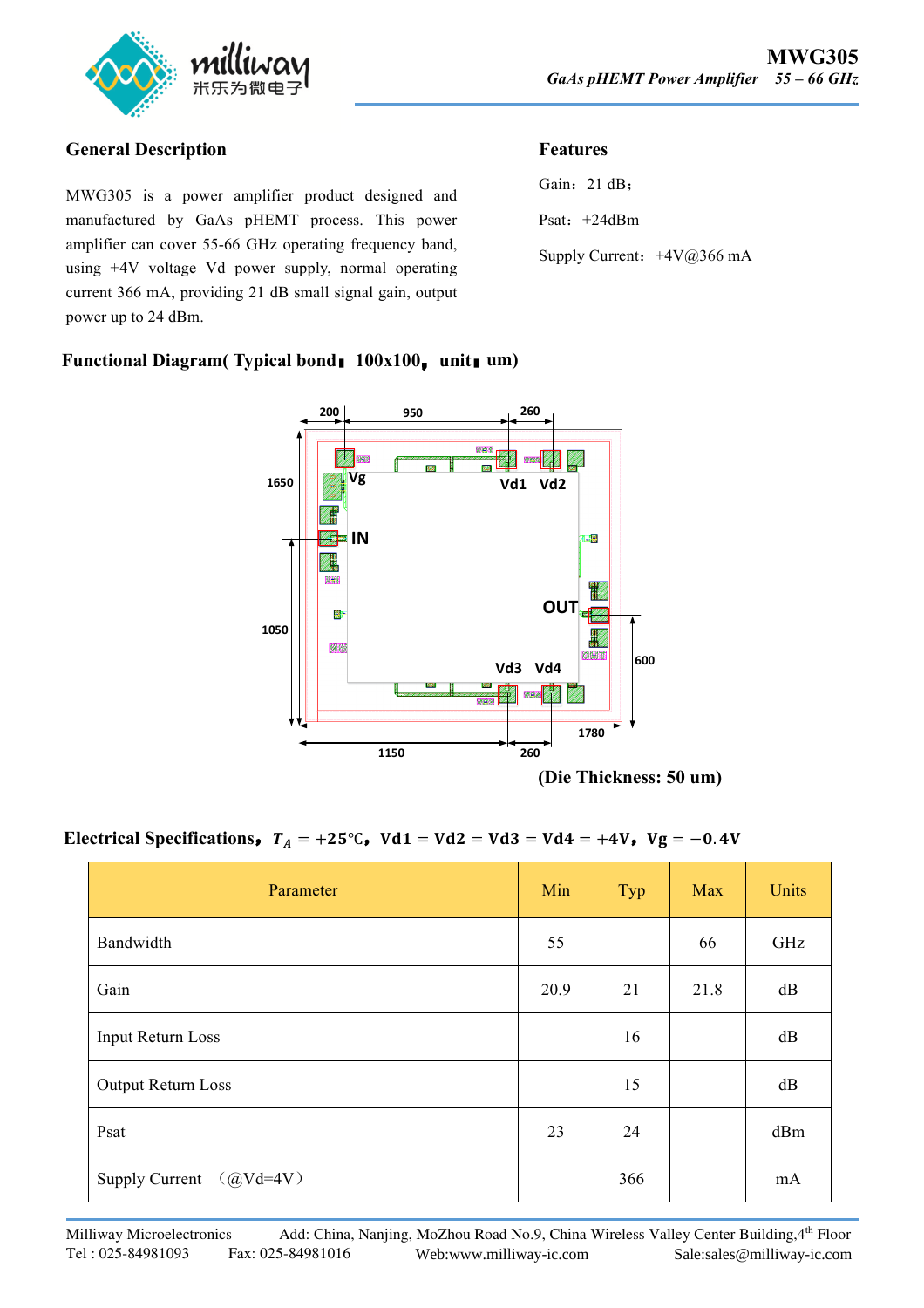

### **General Description**

MWG305 is a power amplifier product designed and manufactured by GaAs pHEMT process. This power amplifier can cover 55-66 GHz operating frequency band, using +4V voltage Vd power supply, normal operating current 366 mA, providing 21 dB small signal gain, output power up to 24 dBm.

## **Features**

| Gain: $21 dB$ ;              |  |
|------------------------------|--|
| Psat: $+24dBm$               |  |
| Supply Current: $+4V@366$ mA |  |

#### **Functional Diagram( Typical bond**:**100x100**,**unit**:**um)**



# Electrical Specifications,  $T_A = +25^\circ \text{C}$ ,  $Vd1 = Vd2 = Vd3 = Vd4 = +4V$ ,  $Vg = -0.4V$

| Parameter                 | Min  | Typ | Max  | Units |
|---------------------------|------|-----|------|-------|
| Bandwidth                 | 55   |     | 66   | GHz   |
| Gain                      | 20.9 | 21  | 21.8 | dB    |
| Input Return Loss         |      | 16  |      | dB    |
| Output Return Loss        |      | 15  |      | dB    |
| Psat                      | 23   | 24  |      | dBm   |
| Supply Current $(QVd=4V)$ |      | 366 |      | mA    |